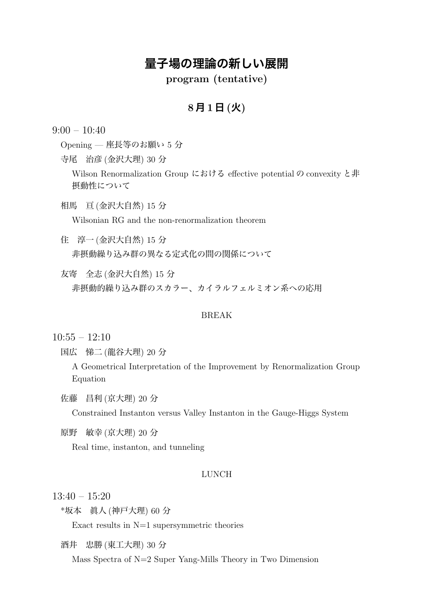# **量子場の理論の新しい展開**

**program (tentative)**

### **8 月 1 日 (火)**

 $9:00 - 10:40$ 

Opening — 座長等のお願い 5 分

寺尾 治彦 (金沢大理) 30 分

Wilson Renormalization Group における effective potential の convexity と非 摂動性について

相馬 亘 (金沢大自然) 15 分

Wilsonian RG and the non-renormalization theorem

住 淳一 (金沢大自然) 15 分 非摂動繰り込み群の異なる定式化の間の関係について

友寄 全志 (金沢大自然) 15 分 非摂動的繰り込み群のスカラー、カイラルフェルミオン系への応用

#### BREAK

 $10:55 - 12:10$ 

国広 悌二 (龍谷大理) 20 分

A Geometrical Interpretation of the Improvement by Renormalization Group Equation

佐藤 昌利 (京大理) 20 分

Constrained Instanton versus Valley Instanton in the Gauge-Higgs System

原野 敏幸 (京大理) 20 分

Real time, instanton, and tunneling

### LUNCH

 $13:40 - 15:20$ 

\*坂本 眞人 (神戸大理) 60 分

Exact results in  $N=1$  supersymmetric theories

酒井 忠勝 (東工大理) 30 分

Mass Spectra of N=2 Super Yang-Mills Theory in Two Dimension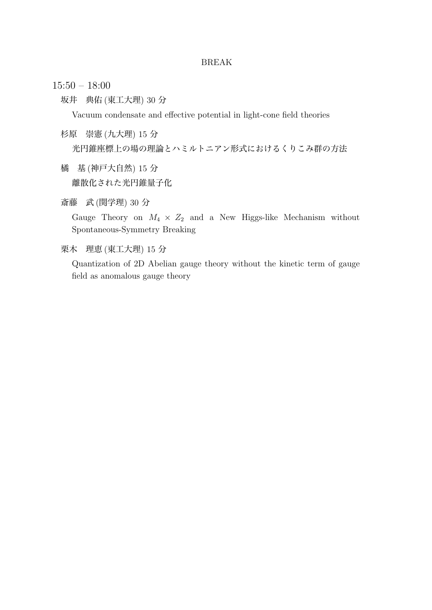#### BREAK

- 15:50 18:00
	- 坂井 典佑 (東工大理) 30 分

Vacuum condensate and effective potential in light-cone field theories

杉原 崇憲 (九大理) 15 分

光円錐座標上の場の理論とハミルトニアン形式におけるくりこみ群の方法

- 橘 基 (神戸大自然) 15 分 離散化された光円錐量子化
- 斎藤 武 (関学理) 30 分

Gauge Theory on  $M_4 \times Z_2$  and a New Higgs-like Mechanism without Spontaneous-Symmetry Breaking

栗木 理恵 (東工大理) 15 分

Quantization of 2D Abelian gauge theory without the kinetic term of gauge field as anomalous gauge theory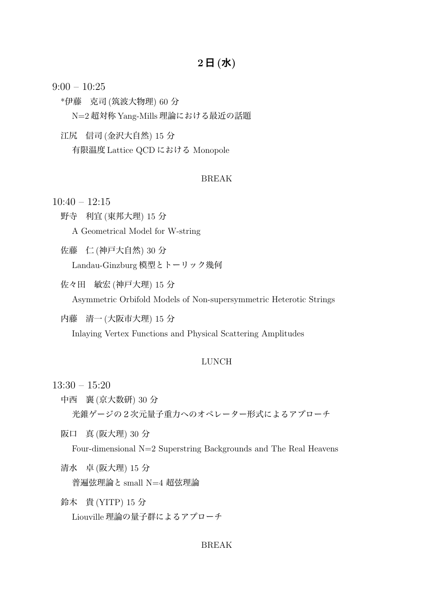# **2 日 (水)**

 $9:00 - 10:25$ 

\*伊藤 克司 (筑波大物理) 60 分

N=2 超対称 Yang-Mills 理論における最近の話題

江尻 信司 (金沢大自然) 15 分

有限温度 Lattice QCD における Monopole

### BREAK

 $10:40 - 12:15$ 

野寺 利宜 (東邦大理) 15 分

A Geometrical Model for W-string

佐藤 仁 (神戸大自然) 30 分 Landau-Ginzburg 模型とトーリック幾何

佐々田 敏宏 (神戸大理) 15 分

Asymmetric Orbifold Models of Non-supersymmetric Heterotic Strings

内藤 清一 (大阪市大理) 15 分

Inlaying Vertex Functions and Physical Scattering Amplitudes

#### LUNCH

13:30 – 15:20

中西 襄 (京大数研) 30 分 光錐ゲージの2次元量子重力へのオペレーター形式によるアプローチ

阪口 真 (阪大理) 30 分 Four-dimensional N=2 Superstring Backgrounds and The Real Heavens

- 清水 卓 (阪大理) 15 分 普遍弦理論と small N=4 超弦理論
- 鈴木 貴 (YITP) 15 分 Liouville 理論の量子群によるアプローチ

#### BREAK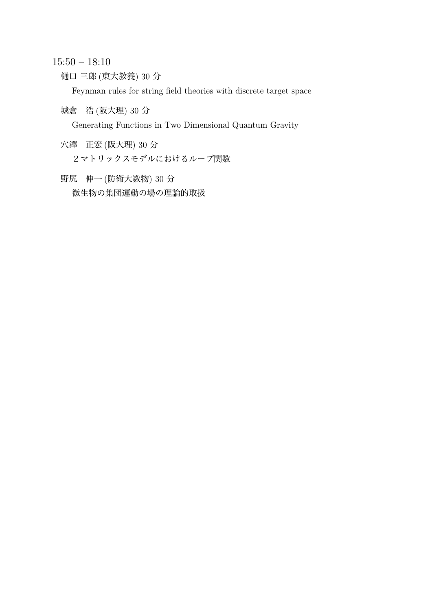15:50 – 18:10

樋口 三郎 (東大教養) 30 分

Feynman rules for string field theories with discrete target space

城倉 浩 (阪大理) 30 分

Generating Functions in Two Dimensional Quantum Gravity

- 穴澤 正宏 (阪大理) 30 分
	- 2マトリックスモデルにおけるループ関数
- 野尻 伸一 (防衛大数物) 30 分 微生物の集団運動の場の理論的取扱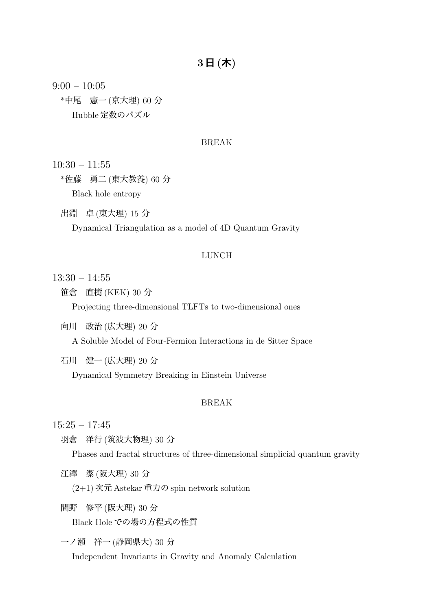# **3 日 (木)**

 $9:00 - 10:05$ \*中尾 憲一 (京大理) 60 分 Hubble 定数のパズル

### BREAK

 $10:30 - 11:55$ 

\*佐藤 勇二 (東大教養) 60 分 Black hole entropy

出淵 卓 (東大理) 15 分

Dynamical Triangulation as a model of 4D Quantum Gravity

#### LUNCH

13:30 – 14:55

笹倉 直樹 (KEK) 30 分

Projecting three-dimensional TLFTs to two-dimensional ones

- 向川 政治 (広大理) 20 分 A Soluble Model of Four-Fermion Interactions in de Sitter Space
- 石川 健一 (広大理) 20 分

Dynamical Symmetry Breaking in Einstein Universe

#### BREAK

 $15:25 - 17:45$ 

羽倉 洋行 (筑波大物理) 30 分

Phases and fractal structures of three-dimensional simplicial quantum gravity

江澤 潔 (阪大理) 30 分

(2+1) 次元 Astekar 重力の spin network solution

間野 修平 (阪大理) 30 分

Black Hole での場の方程式の性質

一ノ瀬 祥一 (静岡県大) 30 分

Independent Invariants in Gravity and Anomaly Calculation